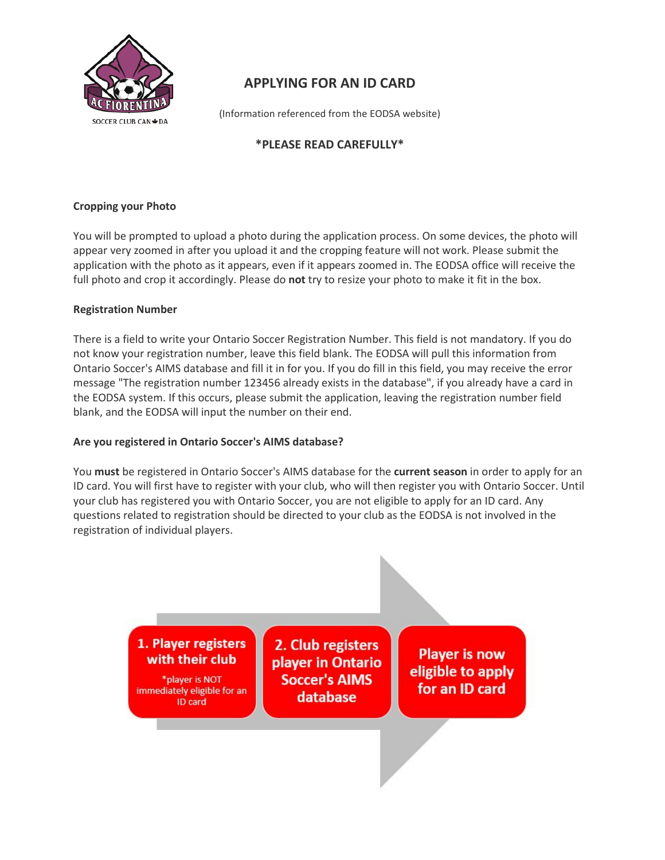

# **APPLYING FOR AN ID CARD**

(Information referenced from the EODSA website)

## **\*PLEASE READ CAREFULLY\***

### **Cropping your Photo**

You will be prompted to upload a photo during the application process. On some devices, the photo will appear very zoomed in after you upload it and the cropping feature will not work. Please submit the application with the photo as it appears, even if it appears zoomed in. The EODSA office will receive the full photo and crop it accordingly. Please do **not** try to resize your photo to make it fit in the box.

#### **Registration Number**

There is a field to write your Ontario Soccer Registration Number. This field is not mandatory. If you do not know your registration number, leave this field blank. The EODSA will pull this information from Ontario Soccer's AIMS database and fill it in for you. If you do fill in this field, you may receive the error message "The registration number 123456 already exists in the database", if you already have a card in the EODSA system. If this occurs, please submit the application, leaving the registration number field blank, and the EODSA will input the number on their end.

#### **Are you registered in Ontario Soccer's AIMS database?**

You **must** be registered in Ontario Soccer's AIMS database for the **current season** in order to apply for an ID card. You will first have to register with your club, who will then register you with Ontario Soccer. Until your club has registered you with Ontario Soccer, you are not eligible to apply for an ID card. Any questions related to registration should be directed to your club as the EODSA is not involved in the registration of individual players.

> 1. Player registers with their club

\*player is NOT immediately eligible for an ID card

2. Club registers player in Ontario **Soccer's AIMS** database

**Player is now** eligible to apply for an ID card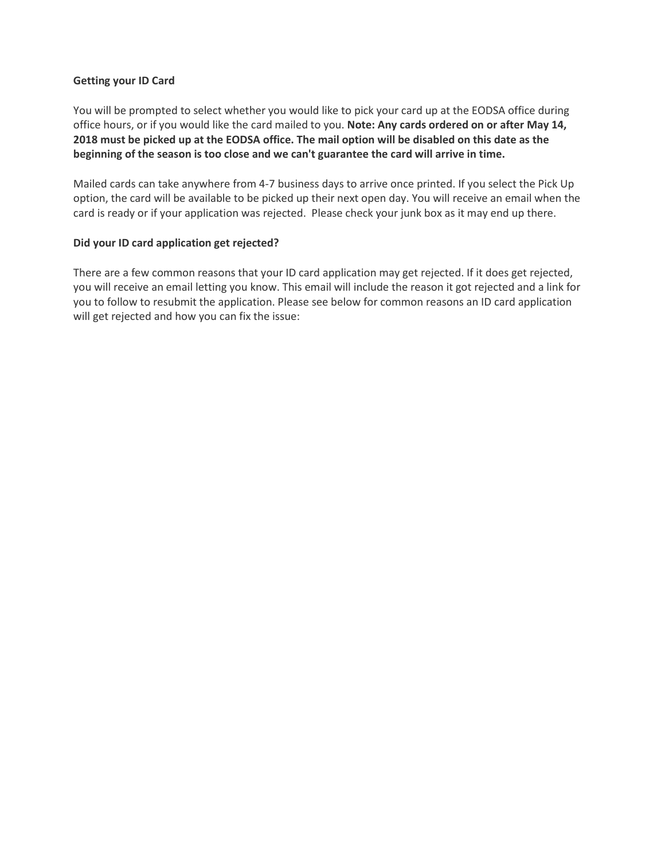#### **Getting your ID Card**

You will be prompted to select whether you would like to pick your card up at the EODSA office during office hours, or if you would like the card mailed to you. **Note: Any cards ordered on or after May 14, 2018 must be picked up at the EODSA office. The mail option will be disabled on this date as the beginning of the season is too close and we can't guarantee the card will arrive in time.** 

Mailed cards can take anywhere from 4-7 business days to arrive once printed. If you select the Pick Up option, the card will be available to be picked up their next open day. You will receive an email when the card is ready or if your application was rejected. Please check your junk box as it may end up there.

#### **Did your ID card application get rejected?**

There are a few common reasons that your ID card application may get rejected. If it does get rejected, you will receive an email letting you know. This email will include the reason it got rejected and a link for you to follow to resubmit the application. Please see below for common reasons an ID card application will get rejected and how you can fix the issue: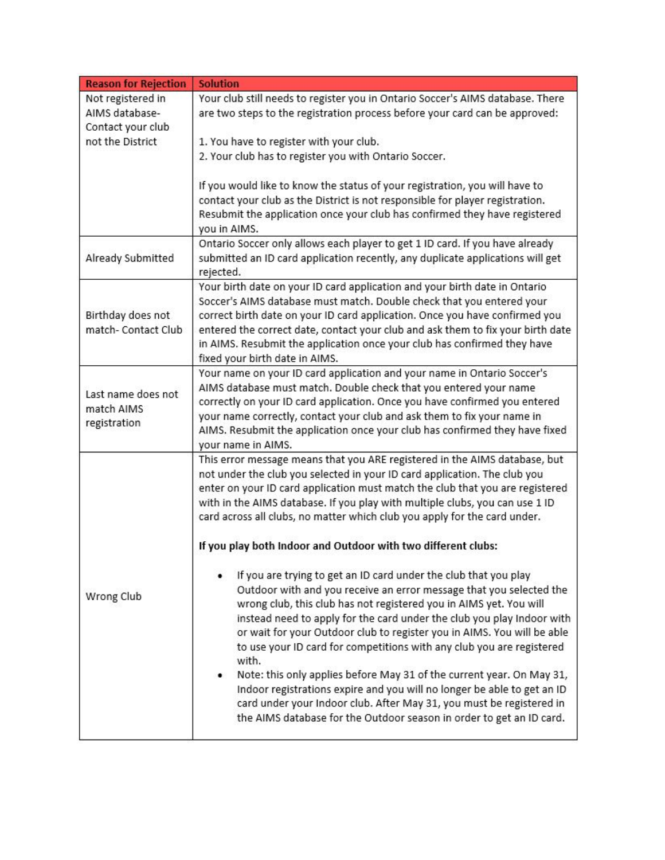| <b>Reason for Rejection</b>                      | <b>Solution</b>                                                                                                                               |
|--------------------------------------------------|-----------------------------------------------------------------------------------------------------------------------------------------------|
| Not registered in                                | Your club still needs to register you in Ontario Soccer's AIMS database. There                                                                |
| AIMS database-                                   | are two steps to the registration process before your card can be approved:                                                                   |
| Contact your club                                |                                                                                                                                               |
| not the District                                 | 1. You have to register with your club.                                                                                                       |
|                                                  | 2. Your club has to register you with Ontario Soccer.                                                                                         |
|                                                  |                                                                                                                                               |
|                                                  | If you would like to know the status of your registration, you will have to                                                                   |
|                                                  | contact your club as the District is not responsible for player registration.                                                                 |
|                                                  | Resubmit the application once your club has confirmed they have registered                                                                    |
|                                                  |                                                                                                                                               |
|                                                  | you in AIMS.                                                                                                                                  |
| Already Submitted                                | Ontario Soccer only allows each player to get 1 ID card. If you have already                                                                  |
|                                                  | submitted an ID card application recently, any duplicate applications will get                                                                |
|                                                  | rejected.                                                                                                                                     |
|                                                  | Your birth date on your ID card application and your birth date in Ontario                                                                    |
|                                                  | Soccer's AIMS database must match. Double check that you entered your                                                                         |
| Birthday does not                                | correct birth date on your ID card application. Once you have confirmed you                                                                   |
| match- Contact Club                              | entered the correct date, contact your club and ask them to fix your birth date                                                               |
|                                                  | in AIMS. Resubmit the application once your club has confirmed they have                                                                      |
|                                                  | fixed your birth date in AIMS.                                                                                                                |
|                                                  | Your name on your ID card application and your name in Ontario Soccer's                                                                       |
| Last name does not<br>match AIMS<br>registration | AIMS database must match. Double check that you entered your name                                                                             |
|                                                  |                                                                                                                                               |
|                                                  | correctly on your ID card application. Once you have confirmed you entered                                                                    |
|                                                  | your name correctly, contact your club and ask them to fix your name in                                                                       |
|                                                  | AIMS. Resubmit the application once your club has confirmed they have fixed                                                                   |
|                                                  | your name in AIMS.                                                                                                                            |
|                                                  | This error message means that you ARE registered in the AIMS database, but                                                                    |
|                                                  | not under the club you selected in your ID card application. The club you                                                                     |
|                                                  | enter on your ID card application must match the club that you are registered                                                                 |
|                                                  | with in the AIMS database. If you play with multiple clubs, you can use 1 ID                                                                  |
|                                                  | card across all clubs, no matter which club you apply for the card under.                                                                     |
|                                                  | If you play both Indoor and Outdoor with two different clubs:                                                                                 |
|                                                  | If you are trying to get an ID card under the club that you play                                                                              |
|                                                  | Outdoor with and you receive an error message that you selected the                                                                           |
| Wrong Club                                       | wrong club, this club has not registered you in AIMS yet. You will                                                                            |
|                                                  |                                                                                                                                               |
|                                                  | instead need to apply for the card under the club you play Indoor with                                                                        |
|                                                  | or wait for your Outdoor club to register you in AIMS. You will be able                                                                       |
|                                                  | to use your ID card for competitions with any club you are registered                                                                         |
|                                                  | with.                                                                                                                                         |
|                                                  |                                                                                                                                               |
|                                                  |                                                                                                                                               |
|                                                  | Indoor registrations expire and you will no longer be able to get an ID                                                                       |
|                                                  | Note: this only applies before May 31 of the current year. On May 31,<br>card under your Indoor club. After May 31, you must be registered in |